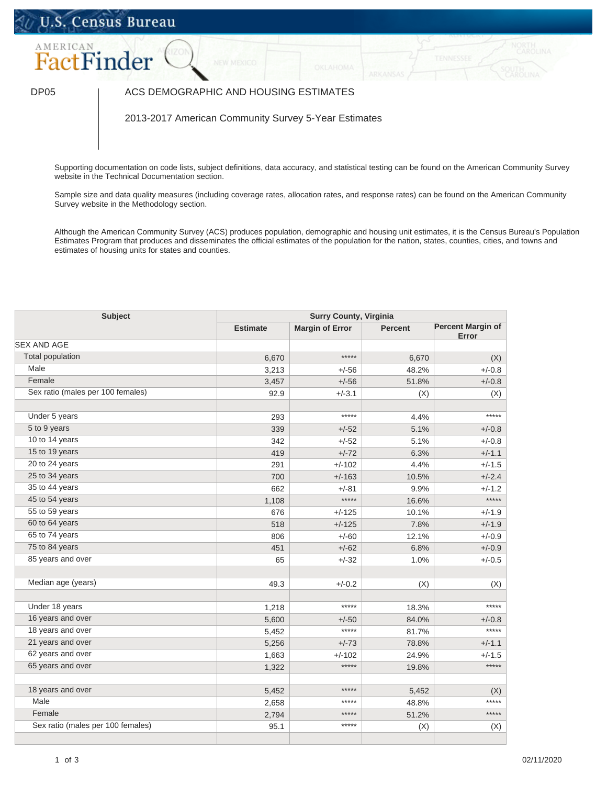## U.S. Census Bureau



## DP05 | ACS DEMOGRAPHIC AND HOUSING ESTIMATES

2013-2017 American Community Survey 5-Year Estimates

Supporting documentation on code lists, subject definitions, data accuracy, and statistical testing can be found on the American Community Survey website in the [Technical Documentation](https://www.census.gov/programs-surveys/acs/technical-documentation/code-lists.html) section.

Sample size and data quality measures (including coverage rates, allocation rates, and response rates) can be found on the American Community Survey website in the [Methodology](https://www.census.gov/acs/www/methodology/sample_size_and_data_quality/) section.

Although the American Community Survey (ACS) produces population, demographic and housing unit estimates, it is the Census Bureau's Population Estimates Program that produces and disseminates the official estimates of the population for the nation, states, counties, cities, and towns and estimates of housing units for states and counties.

| <b>Subject</b>                    | <b>Surry County, Virginia</b> |                        |         |                                   |
|-----------------------------------|-------------------------------|------------------------|---------|-----------------------------------|
|                                   | <b>Estimate</b>               | <b>Margin of Error</b> | Percent | <b>Percent Margin of</b><br>Error |
| <b>SEX AND AGE</b>                |                               |                        |         |                                   |
| <b>Total population</b>           | 6,670                         | *****                  | 6,670   | (X)                               |
| Male                              | 3,213                         | $+/-56$                | 48.2%   | $+/-0.8$                          |
| Female                            | 3,457                         | $+/-56$                | 51.8%   | $+/-0.8$                          |
| Sex ratio (males per 100 females) | 92.9                          | $+/-3.1$               | (X)     | (X)                               |
| Under 5 years                     | 293                           | *****                  | 4.4%    | *****                             |
| 5 to 9 years                      | 339                           | $+/-52$                | 5.1%    | $+/-0.8$                          |
| 10 to 14 years                    | 342                           | $+/-52$                | 5.1%    | $+/-0.8$                          |
| 15 to 19 years                    | 419                           | $+/-72$                | 6.3%    | $+/-1.1$                          |
| 20 to 24 years                    | 291                           | $+/-102$               | 4.4%    | $+/-1.5$                          |
| 25 to 34 years                    | 700                           | $+/-163$               | 10.5%   | $+/-2.4$                          |
| 35 to 44 years                    | 662                           | $+/-81$                | 9.9%    | $+/-1.2$                          |
| 45 to 54 years                    | 1,108                         | *****                  | 16.6%   | *****                             |
| 55 to 59 years                    | 676                           | $+/-125$               | 10.1%   | $+/-1.9$                          |
| 60 to 64 years                    | 518                           | $+/-125$               | 7.8%    | $+/-1.9$                          |
| 65 to 74 years                    | 806                           | $+/-60$                | 12.1%   | $+/-0.9$                          |
| 75 to 84 years                    | 451                           | $+/-62$                | 6.8%    | $+/-0.9$                          |
| 85 years and over                 | 65                            | $+/-32$                | 1.0%    | $+/-0.5$                          |
| Median age (years)                | 49.3                          | $+/-0.2$               | (X)     | (X)                               |
| Under 18 years                    | 1,218                         | *****                  | 18.3%   | *****                             |
| 16 years and over                 | 5,600                         | $+/-50$                | 84.0%   | $+/-0.8$                          |
| 18 years and over                 | 5,452                         | *****                  | 81.7%   | *****                             |
| 21 years and over                 | 5,256                         | $+/-73$                | 78.8%   | $+/-1.1$                          |
| 62 years and over                 | 1,663                         | $+/-102$               | 24.9%   | $+/-1.5$                          |
| 65 years and over                 | 1,322                         | $****$                 | 19.8%   | *****                             |
| 18 years and over                 | 5,452                         | *****                  | 5,452   | (X)                               |
| Male                              | 2,658                         | *****                  | 48.8%   | *****                             |
| Female                            | 2,794                         | *****                  | 51.2%   | *****                             |
| Sex ratio (males per 100 females) | 95.1                          | *****                  | (X)     | (X)                               |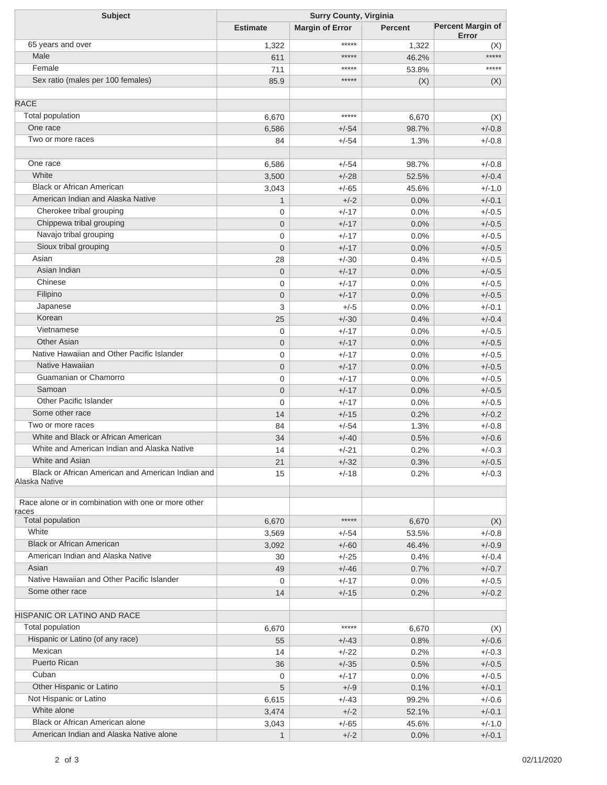| <b>Subject</b>                                      | <b>Surry County, Virginia</b> |                        |                |                                   |
|-----------------------------------------------------|-------------------------------|------------------------|----------------|-----------------------------------|
|                                                     | <b>Estimate</b>               | <b>Margin of Error</b> | <b>Percent</b> | <b>Percent Margin of</b><br>Error |
| 65 years and over                                   | 1,322                         | *****                  | 1,322          | (X)                               |
| Male                                                | 611                           | *****                  | 46.2%          | *****                             |
| Female                                              | 711                           | *****                  | 53.8%          | *****                             |
| Sex ratio (males per 100 females)                   | 85.9                          | *****                  | (X)            | (X)                               |
|                                                     |                               |                        |                |                                   |
| <b>RACE</b>                                         |                               | *****                  |                |                                   |
| <b>Total population</b><br>One race                 | 6,670                         |                        | 6,670          | (X)                               |
| Two or more races                                   | 6,586                         | $+/-54$                | 98.7%          | $+/-0.8$                          |
|                                                     | 84                            | $+/-54$                | 1.3%           | $+/-0.8$                          |
| One race                                            | 6,586                         | $+/-54$                | 98.7%          | $+/-0.8$                          |
| White                                               | 3,500                         | $+/-28$                | 52.5%          | $+/-0.4$                          |
| <b>Black or African American</b>                    | 3,043                         | $+/-65$                | 45.6%          | $+/-1.0$                          |
| American Indian and Alaska Native                   | $\mathbf{1}$                  | $+/-2$                 | 0.0%           | $+/-0.1$                          |
| Cherokee tribal grouping                            | $\mathbf 0$                   | $+/-17$                | 0.0%           | $+/-0.5$                          |
| Chippewa tribal grouping                            | $\mathbf 0$                   | $+/-17$                | 0.0%           | $+/-0.5$                          |
| Navajo tribal grouping                              | $\mathbf 0$                   | $+/-17$                | 0.0%           | $+/-0.5$                          |
| Sioux tribal grouping                               | $\mathbf{0}$                  | $+/-17$                | 0.0%           | $+/-0.5$                          |
| Asian                                               | 28                            | $+/-30$                | 0.4%           | $+/-0.5$                          |
| Asian Indian                                        | $\mathbf 0$                   | $+/-17$                | 0.0%           | $+/-0.5$                          |
| Chinese                                             | $\mathbf 0$                   | $+/-17$                | 0.0%           | $+/-0.5$                          |
| Filipino                                            | $\mathbf 0$                   | $+/-17$                | 0.0%           | $+/-0.5$                          |
| Japanese                                            | 3                             | $+/-5$                 | 0.0%           | $+/-0.1$                          |
| Korean                                              | 25                            | $+/-30$                | 0.4%           | $+/-0.4$                          |
| Vietnamese                                          | $\mathbf 0$                   | $+/-17$                | 0.0%           | $+/-0.5$                          |
| <b>Other Asian</b>                                  | $\mathbf 0$                   | $+/-17$                | 0.0%           | $+/-0.5$                          |
| Native Hawaiian and Other Pacific Islander          | $\mathbf 0$                   | $+/-17$                | 0.0%           | $+/-0.5$                          |
| Native Hawaiian                                     | $\mathbf 0$                   | $+/-17$                | 0.0%           | $+/-0.5$                          |
| Guamanian or Chamorro                               | $\mathbf 0$                   | $+/-17$                | 0.0%           | $+/-0.5$                          |
| Samoan                                              | $\mathbf 0$                   | $+/-17$                | 0.0%           | $+/-0.5$                          |
| Other Pacific Islander                              | $\overline{0}$                | $+/-17$                | 0.0%           | $+/-0.5$                          |
| Some other race                                     | 14                            | $+/-15$                | 0.2%           | $+/-0.2$                          |
| Two or more races                                   | 84                            | $+/-54$                | 1.3%           | $+/-0.8$                          |
| White and Black or African American                 | 34                            | $+/-40$                | 0.5%           | $+/-0.6$                          |
| White and American Indian and Alaska Native         | 14                            | $+/-21$                | 0.2%           | $+/-0.3$                          |
| White and Asian                                     | 21                            | $+/-32$                | 0.3%           | $+/-0.5$                          |
| Black or African American and American Indian and   | 15                            | $+/-18$                | 0.2%           | $+/-0.3$                          |
| Alaska Native                                       |                               |                        |                |                                   |
| Race alone or in combination with one or more other |                               |                        |                |                                   |
| races<br><b>Total population</b>                    | 6,670                         | *****                  | 6,670          | (X)                               |
| White                                               | 3,569                         | $+/-54$                | 53.5%          | $+/-0.8$                          |
| <b>Black or African American</b>                    | 3,092                         | $+/-60$                | 46.4%          | $+/-0.9$                          |
| American Indian and Alaska Native                   |                               | $+/-25$                |                | $+/-0.4$                          |
| Asian                                               | 30<br>49                      | $+/-46$                | 0.4%           | $+/-0.7$                          |
| Native Hawaiian and Other Pacific Islander          |                               | $+/-17$                | 0.7%           | $+/-0.5$                          |
| Some other race                                     | 0                             |                        | 0.0%           |                                   |
|                                                     | 14                            | $+/-15$                | 0.2%           | $+/-0.2$                          |
| <b>HISPANIC OR LATINO AND RACE</b>                  |                               |                        |                |                                   |
| Total population                                    | 6,670                         | *****                  | 6,670          | (X)                               |
| Hispanic or Latino (of any race)                    | 55                            | $+/-43$                | 0.8%           | $+/-0.6$                          |
| Mexican                                             | 14                            | $+/-22$                | 0.2%           | $+/-0.3$                          |
| <b>Puerto Rican</b>                                 | 36                            | $+/-35$                | 0.5%           | $+/-0.5$                          |
| Cuban                                               | 0                             | $+/-17$                | 0.0%           | $+/-0.5$                          |
| Other Hispanic or Latino                            | 5                             | $+/-9$                 | 0.1%           | $+/-0.1$                          |
| Not Hispanic or Latino                              | 6,615                         | $+/-43$                | 99.2%          | $+/-0.6$                          |
| White alone                                         | 3,474                         | $+/-2$                 | 52.1%          | $+/-0.1$                          |
| Black or African American alone                     | 3,043                         | $+/-65$                | 45.6%          | $+/-1.0$                          |
| American Indian and Alaska Native alone             |                               | $+/-2$                 | 0.0%           | $+/-0.1$                          |